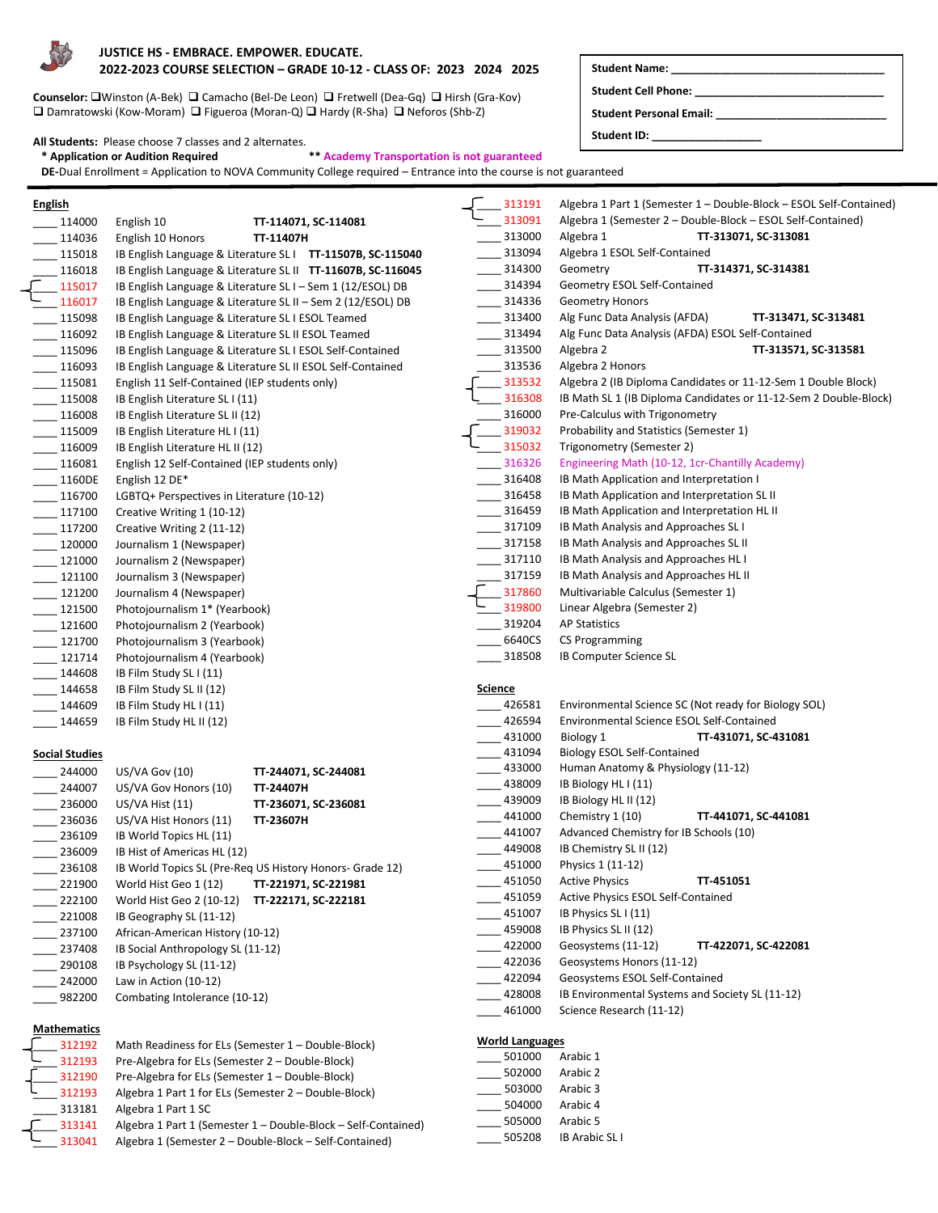

#### **JUSTICE HS - EMBRACE. EMPOWER. EDUCATE. 2022-2023 COURSE SELECTION – GRADE 10-12 - CLASS OF: 2023 2024 2025 Student Name: \_\_\_\_\_\_\_\_\_\_\_\_\_\_\_\_\_\_\_\_\_\_\_\_\_\_\_\_\_\_\_\_\_\_\_**

**Counselor:** Winston (A-Bek) Camacho (Bel-De Leon) Fretwell (Dea-Gq) Hirsh (Gra-Kov) Damratowski (Kow-Moram) Figueroa (Moran-Q) Hardy (R-Sha) Neforos (Shb-Z)

#### **All Students:** Please choose 7 classes and 2 alternates.

 **\* Application or Audition Required \*\* Academy Transportation is not guaranteed**

 **DE-**Dual Enrollment = Application to NOVA Community College required – Entrance into the course is not guaranteed

| <b>English</b> |                             |                                                             |           |                                                             |
|----------------|-----------------------------|-------------------------------------------------------------|-----------|-------------------------------------------------------------|
|                | 114000                      | English 10                                                  |           | TT-114071, SC-114081                                        |
|                | 114036                      | English 10 Honors                                           | TT-11407H |                                                             |
|                | $-115018$                   |                                                             |           | IB English Language & Literature SL I TT-11507B, SC-115040  |
|                | $-116018$                   |                                                             |           | IB English Language & Literature SL II TT-11607B, SC-116045 |
|                | $\frac{2}{\sqrt{2}}$ 115017 | IB English Language & Literature SL I - Sem 1 (12/ESOL) DB  |           |                                                             |
|                | $- 116017$                  | IB English Language & Literature SL II - Sem 2 (12/ESOL) DB |           |                                                             |
|                | $-115098$                   | IB English Language & Literature SL I ESOL Teamed           |           |                                                             |
|                | $-116092$                   | IB English Language & Literature SL II ESOL Teamed          |           |                                                             |
|                | 115096                      | IB English Language & Literature SL I ESOL Self-Contained   |           |                                                             |
|                | $-116093$                   | IB English Language & Literature SL II ESOL Self-Contained  |           |                                                             |
|                | $-115081$                   | English 11 Self-Contained (IEP students only)               |           |                                                             |
|                | 115008                      | IB English Literature SL I (11)                             |           |                                                             |
|                | 116008                      | IB English Literature SL II (12)                            |           |                                                             |
|                | $- 115009$                  | IB English Literature HL I (11)                             |           |                                                             |
|                | $- 116009$                  | IB English Literature HL II (12)                            |           |                                                             |
|                | 116081                      | English 12 Self-Contained (IEP students only)               |           |                                                             |
|                | 1160DE                      | English 12 DE*                                              |           |                                                             |
|                | $-116700$                   | LGBTQ+ Perspectives in Literature (10-12)                   |           |                                                             |
|                | $-117100$                   | Creative Writing 1 (10-12)                                  |           |                                                             |
|                | $- 117200$                  | Creative Writing 2 (11-12)                                  |           |                                                             |
|                | 120000                      | Journalism 1 (Newspaper)                                    |           |                                                             |
|                | $- 121000$                  | Journalism 2 (Newspaper)                                    |           |                                                             |
|                | $- 121100$                  | Journalism 3 (Newspaper)                                    |           |                                                             |
|                | $- 121200$                  | Journalism 4 (Newspaper)                                    |           |                                                             |
|                | 121500                      | Photojournalism 1* (Yearbook)                               |           |                                                             |
|                | $- 121600$                  | Photojournalism 2 (Yearbook)                                |           |                                                             |
|                | $- 121700$                  | Photojournalism 3 (Yearbook)                                |           |                                                             |
|                | $- 121714$                  | Photojournalism 4 (Yearbook)                                |           |                                                             |
|                | 144608                      | IB Film Study SL I (11)                                     |           |                                                             |
|                | 144658                      | IB Film Study SL II (12)                                    |           |                                                             |
|                | $- 144609$                  | IB Film Study HL I (11)                                     |           |                                                             |
|                | 144659                      | IB Film Study HL II (12)                                    |           |                                                             |

#### **Social Studies**

| 244000 | US/VA Gov (10)                    | TT-244071, SC-244081                                     |
|--------|-----------------------------------|----------------------------------------------------------|
| 244007 | US/VA Gov Honors (10)             | TT-24407H                                                |
| 236000 | US/VA Hist (11)                   | TT-236071, SC-236081                                     |
| 236036 | US/VA Hist Honors (11)            | TT-23607H                                                |
| 236109 | IB World Topics HL (11)           |                                                          |
| 236009 | IB Hist of Americas HL (12)       |                                                          |
| 236108 |                                   | IB World Topics SL (Pre-Reg US History Honors- Grade 12) |
| 221900 | World Hist Geo 1 (12)             | TT-221971, SC-221981                                     |
| 222100 | World Hist Geo 2 (10-12)          | TT-222171, SC-222181                                     |
| 221008 | IB Geography SL (11-12)           |                                                          |
| 237100 | African-American History (10-12)  |                                                          |
| 237408 | IB Social Anthropology SL (11-12) |                                                          |
| 290108 | IB Psychology SL (11-12)          |                                                          |
| 242000 | Law in Action (10-12)             |                                                          |
| 982200 | Combating Intolerance (10-12)     |                                                          |

### **Mathematics**

| 312192 | Math Readiness for ELs (Semester 1 - Double-Block)            |
|--------|---------------------------------------------------------------|
| 312193 | Pre-Algebra for ELs (Semester 2 - Double-Block)               |
| 312190 | Pre-Algebra for ELs (Semester 1 - Double-Block)               |
| 312193 | Algebra 1 Part 1 for ELs (Semester 2 – Double-Block)          |
| 313181 | Algebra 1 Part 1 SC                                           |
| 313141 | Algebra 1 Part 1 (Semester 1 - Double-Block - Self-Contained) |
| 313041 | Algebra 1 (Semester 2 - Double-Block - Self-Contained)        |

\_\_\_\_ 313191 Algebra 1 Part 1 (Semester 1 – Double-Block – ESOL Self-Contained) \_313091 Algebra 1 (Semester 2 – Double-Block – ESOL Self-Contained) \_\_\_\_ 313000 Algebra 1 **TT-313071, SC-313081** \_\_\_\_ 313094 Algebra 1 ESOL Self-Contained \_\_\_\_ 314300 Geometry **TT-314371, SC-314381** \_\_\_\_ 314394 Geometry ESOL Self-Contained \_\_\_\_ 314336 Geometry Honors \_\_\_\_ 313400 Alg Func Data Analysis (AFDA) **TT-313471, SC-313481** \_\_\_\_ 313494 Alg Func Data Analysis (AFDA) ESOL Self-Contained \_\_\_\_ 313500 Algebra 2 **TT-313571, SC-313581 \_\_\_ 313536** Algebra 2 Honors<br>**\_\_\_ 313532** Algebra 2 (IB Diplo \_\_\_ 313532 Algebra 2 (IB Diploma Candidates or 11-12-Sem 1 Double Block)<br>\_\_\_ 316308 IB Math SL 1 (IB Diploma Candidates or 11-12-Sem 2 Double-Blo 16308 IB Math SL 1 (IB Diploma Candidates or 11-12-Sem 2 Double-Block)<br>1316000 Pre-Calculus with Trigonometry \_\_\_\_\_ 316000 Pre-Calculus with Trigonometry<br>1319032 Probability and Statistics (Semes 19032 Probability and Statistics (Semester 1)<br>1315032 Trigonometry (Semester 2) - 315032 Trigonometry (Semester 2)<br>316326 Engineering Math (10-12. 1 \_\_\_\_ 316326 Engineering Math (10-12, 1cr-Chantilly Academy) \_\_\_\_ 316408 IB Math Application and Interpretation I<br>\_\_\_\_ 316458 IB Math Application and Interpretation S \_\_\_\_ 316458 IB Math Application and Interpretation SL II \_\_\_\_\_ 316459 IB Math Application and Interpretation HL II<br>\_\_\_\_ 317109 IB Math Analysis and Approaches SL I IB Math Analysis and Approaches SL I **\_\_\_\_ 317158** IB Math Analysis and Approaches SL II \_\_\_\_\_\_ 317110 IB Math Analysis and Approaches HL I<br>\_\_\_\_\_\_ 317159 IB Math Analysis and Approaches HL II \_\_\_ 317159 IB Math Analysis and Approaches HL II<br>1317860 Multivariable Calculus (Semester 1)  $\frac{317860}{210000}$  Multivariable Calculus (Semester 1) \_319800 Linear Algebra (Semester 2) \_\_\_\_ 319204 AP Statistics \_\_\_\_\_ 6640CS CS Programming<br>\_\_\_\_ 318508 B Computer Scie IB Computer Science SL **Science**<br>—— 426581 Environmental Science SC (Not ready for Biology SOL) <sup>2426594</sup> Environmental Science ESOL Self-Contained<br>2-431000 Biology 1 **TT-431071, SC-4** \_\_\_\_ 431000 Biology 1 **TT-431071, SC-431081** \_431094 Biology ESOL Self-Contained \_\_\_\_ 433000 Human Anatomy & Physiology (11-12) \_\_\_\_ 438009 IB Biology HL I (11) \_\_\_\_ 439009 IB Biology HL II (12) \_\_\_\_ 441000 Chemistry 1 (10) **TT-441071, SC-441081** Advanced Chemistry for IB Schools (10) \_\_\_\_ 449008 IB Chemistry SL II (12) \_\_\_\_ 451000 Physics 1 (11-12) \_\_\_\_ 451050 Active Physics **TT-451051** 451059 Active Physics ESOL Self-Contained 451007 IB Physics SL I (11) \_\_\_\_ 459008 IB Physics SL II (12) \_\_\_\_ 422000 Geosystems (11-12) **TT-422071, SC-422081** \_422036 Geosystems Honors (11-12) \_422094 Geosystems ESOL Self-Contained \_\_\_\_ 428008 IB Environmental Systems and Society SL (11-12) \_\_\_\_ 461000 Science Research (11-12) **World Languages**

**Student Cell Phone: \_\_\_\_\_\_\_\_\_\_\_\_\_\_\_\_\_\_\_\_\_\_\_\_\_\_\_\_\_\_\_ Student Personal Email: \_\_\_\_\_\_\_\_\_\_\_\_\_\_\_\_\_\_\_\_\_\_\_\_\_\_\_\_**

**Student ID: \_\_\_\_\_\_\_\_\_\_\_\_\_\_\_\_\_\_**

| 501000 | Arabic 1 |
|--------|----------|
| 502000 | Arabic 2 |
| 503000 | Arabic 3 |
| 504000 | Arabic 4 |
| 505000 | Arabic 5 |

```
505208 IB Arabic SL I
```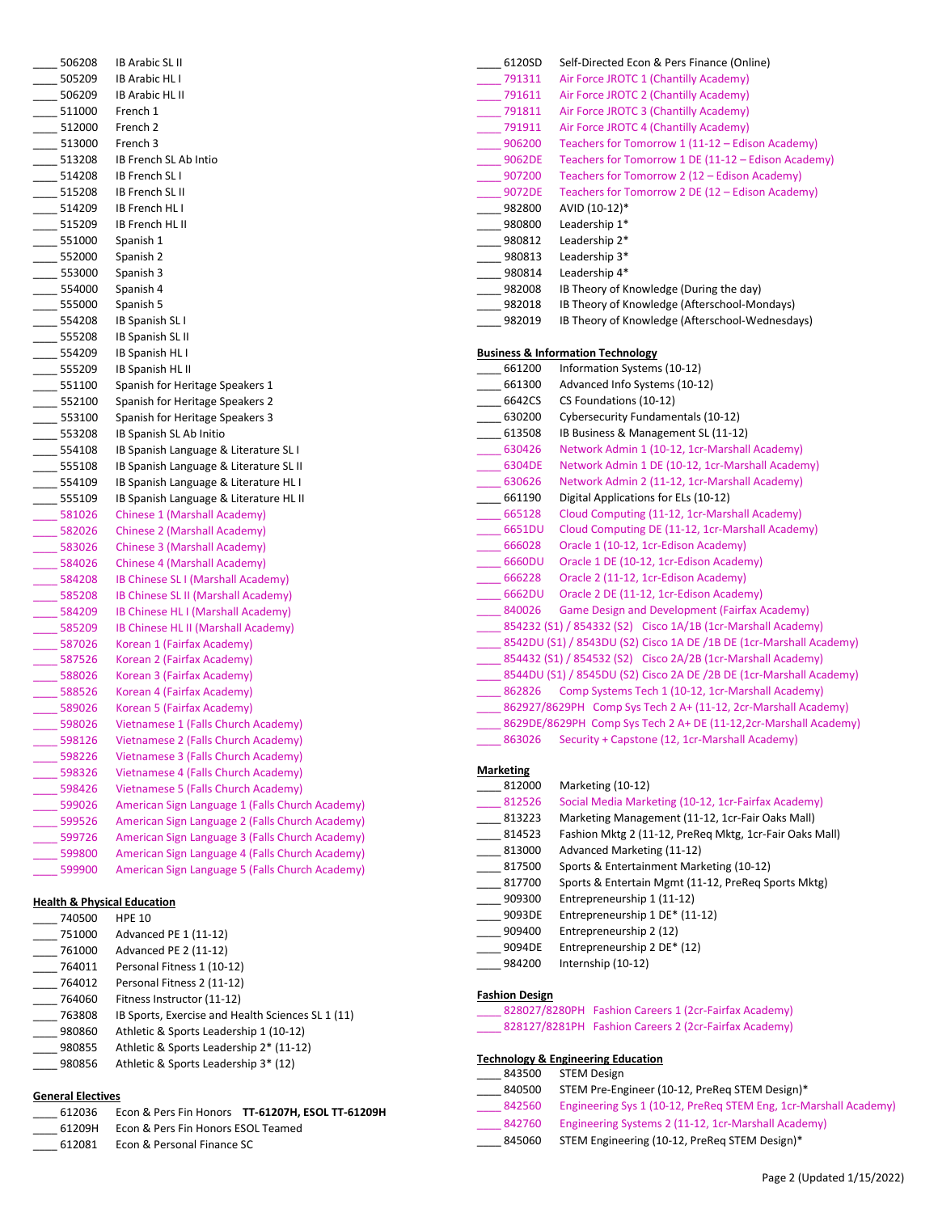| 506208                  | <b>IB Arabic SL II</b>                                                                             |
|-------------------------|----------------------------------------------------------------------------------------------------|
| $-505209$               | <b>IB Arabic HL I</b>                                                                              |
| $- 506209$              | <b>IB Arabic HL II</b>                                                                             |
| 511000                  | French 1                                                                                           |
| $-512000$               | French 2                                                                                           |
| $-513000$               | French 3                                                                                           |
| $-513208$               | IB French SL Ab Intio                                                                              |
| $-514208$               | <b>IB French SLI</b>                                                                               |
| 515208                  | <b>IB French SL II</b>                                                                             |
| $-514209$               | IB French HL I                                                                                     |
| $-515209$               | IB French HL II                                                                                    |
| $-$ 551000              | Spanish 1                                                                                          |
| $-$ 552000              | Spanish 2                                                                                          |
| $-553000$               | Spanish 3                                                                                          |
| $-$ 554000              | Spanish 4                                                                                          |
| $-$ 555000              | Spanish 5                                                                                          |
| 554208                  | IB Spanish SL I                                                                                    |
| $-555208$               | IB Spanish SL II                                                                                   |
| $-554209$               | IB Spanish HL I                                                                                    |
| $-$ 555209              | IB Spanish HL II                                                                                   |
| $-551100$               | Spanish for Heritage Speakers 1                                                                    |
| $-552100$               | Spanish for Heritage Speakers 2                                                                    |
| $- 553100$              | Spanish for Heritage Speakers 3                                                                    |
| $-553208$               | IB Spanish SL Ab Initio                                                                            |
| $-554108$               | IB Spanish Language & Literature SL I                                                              |
| 555108                  | IB Spanish Language & Literature SL II                                                             |
|                         |                                                                                                    |
|                         |                                                                                                    |
| $-554109$               | IB Spanish Language & Literature HL I<br>IB Spanish Language & Literature HL II                    |
| $-555109$               | <b>Chinese 1 (Marshall Academy)</b>                                                                |
| $-581026$<br>$-582026$  | Chinese 2 (Marshall Academy)                                                                       |
| $-583026$               | Chinese 3 (Marshall Academy)                                                                       |
|                         | Chinese 4 (Marshall Academy)                                                                       |
| $-$ 584026<br>$-584208$ | IB Chinese SL I (Marshall Academy)                                                                 |
| 585208                  | IB Chinese SL II (Marshall Academy)                                                                |
| $-584209$               | IB Chinese HL I (Marshall Academy)                                                                 |
|                         | IB Chinese HL II (Marshall Academy)                                                                |
| $-585209$<br>$-587026$  | Korean 1 (Fairfax Academy)                                                                         |
| 587526                  | Korean 2 (Fairfax Academy)                                                                         |
| $-588026$               | Korean 3 (Fairfax Academy)                                                                         |
| $-588526$               | Korean 4 (Fairfax Academy)                                                                         |
| 589026                  | Korean 5 (Fairfax Academy)                                                                         |
| $-598026$               | Vietnamese 1 (Falls Church Academy)                                                                |
| 598126                  | Vietnamese 2 (Falls Church Academy)                                                                |
| 598226                  | Vietnamese 3 (Falls Church Academy)                                                                |
| 598326                  | Vietnamese 4 (Falls Church Academy)                                                                |
| 598426                  | Vietnamese 5 (Falls Church Academy)                                                                |
| 599026                  | American Sign Language 1 (Falls Church Academy)                                                    |
| 599526                  | American Sign Language 2 (Falls Church Academy)                                                    |
| 599726                  | American Sign Language 3 (Falls Church Academy)                                                    |
| 599800<br>599900        | American Sign Language 4 (Falls Church Academy)<br>American Sign Language 5 (Falls Church Academy) |

### **Health & Physical Education**

| 740500 | <b>HPE 10</b>                                     |
|--------|---------------------------------------------------|
| 751000 | Advanced PE 1 (11-12)                             |
| 761000 | Advanced PE 2 (11-12)                             |
| 764011 | Personal Fitness 1 (10-12)                        |
| 764012 | Personal Fitness 2 (11-12)                        |
| 764060 | Fitness Instructor (11-12)                        |
| 763808 | IB Sports, Exercise and Health Sciences SL 1 (11) |
| 980860 | Athletic & Sports Leadership 1 (10-12)            |
| 980855 | Athletic & Sports Leadership 2* (11-12)           |
| 980856 | Athletic & Sports Leadership 3* (12)              |
|        |                                                   |

## **General Electives**

| 612036 |                                           | Econ & Pers Fin Honors TT-61207H, ESOL TT-61209H |
|--------|-------------------------------------------|--------------------------------------------------|
|        | 61209H Econ & Pers Fin Honors ESOL Teamed |                                                  |
| 612081 | Econ & Personal Finance SC                |                                                  |

| 6120SD                     | Self-Directed Econ & Pers Finance (Online)                                |
|----------------------------|---------------------------------------------------------------------------|
| 791311                     | Air Force JROTC 1 (Chantilly Academy)                                     |
| 791611                     | Air Force JROTC 2 (Chantilly Academy)                                     |
| $- 791811$                 | Air Force JROTC 3 (Chantilly Academy)                                     |
| $- 791911$                 | Air Force JROTC 4 (Chantilly Academy)                                     |
| $-906200$                  | Teachers for Tomorrow 1 (11-12 - Edison Academy)                          |
| $\frac{9062DE}{2}$         | Teachers for Tomorrow 1 DE (11-12 - Edison Academy)                       |
| $\frac{907200}{2}$         | Teachers for Tomorrow 2 (12 - Edison Academy)                             |
| ______ 9072DE              | Teachers for Tomorrow 2 DE (12 - Edison Academy)                          |
| 982800                     | AVID (10-12)*                                                             |
| $-980800$                  | Leadership 1*                                                             |
| $-980812$                  | Leadership 2*                                                             |
| $-980813$                  | Leadership 3*                                                             |
| $-980814$                  | Leadership 4*                                                             |
| $-982008$                  | IB Theory of Knowledge (During the day)                                   |
| $-982018$                  | IB Theory of Knowledge (Afterschool-Mondays)                              |
| 982019                     | IB Theory of Knowledge (Afterschool-Wednesdays)                           |
|                            |                                                                           |
|                            | <b>Business &amp; Information Technology</b>                              |
| $\frac{661200}{2}$         | Information Systems (10-12)                                               |
| $-661300$                  | Advanced Info Systems (10-12)                                             |
| $-6642CS$                  | CS Foundations (10-12)                                                    |
| $-630200$                  | Cybersecurity Fundamentals (10-12)                                        |
| $-613508$                  | IB Business & Management SL (11-12)                                       |
| $-630426$                  | Network Admin 1 (10-12, 1cr-Marshall Academy)                             |
| $-6304DE$                  | Network Admin 1 DE (10-12, 1cr-Marshall Academy)                          |
| $\frac{1}{2}$ 630626       | Network Admin 2 (11-12, 1cr-Marshall Academy)                             |
| $-661190$                  | Digital Applications for ELs (10-12)                                      |
| $\frac{1}{2}665128$        | Cloud Computing (11-12, 1cr-Marshall Academy)                             |
| $-6651DU$                  | Cloud Computing DE (11-12, 1cr-Marshall Academy)                          |
| _____ 666028               | Oracle 1 (10-12, 1cr-Edison Academy)                                      |
| $\frac{1}{2}$ 6660DU       | Oracle 1 DE (10-12, 1cr-Edison Academy)                                   |
| $\frac{1}{2}666228$        | Oracle 2 (11-12, 1cr-Edison Academy)                                      |
| $-6662DU$                  | Oracle 2 DE (11-12, 1cr-Edison Academy)                                   |
| $\frac{840026}{ }$         | <b>Game Design and Development (Fairfax Academy)</b>                      |
|                            | 254232 (S1) / 854332 (S2) Cisco 1A/1B (1cr-Marshall Academy)              |
|                            | 8542DU (S1) / 8543DU (S2) Cisco 1A DE /1B DE (1cr-Marshall Academy)       |
|                            | 854432 (S1) / 854532 (S2) Cisco 2A/2B (1cr-Marshall Academy)              |
|                            | _____ 8544DU (S1) / 8545DU (S2) Cisco 2A DE /2B DE (1cr-Marshall Academy) |
| 2862826                    | Comp Systems Tech 1 (10-12, 1cr-Marshall Academy)                         |
|                            | ____ 862927/8629PH Comp Sys Tech 2 A+ (11-12, 2cr-Marshall Academy)       |
|                            | 8629DE/8629PH Comp Sys Tech 2 A+ DE (11-12,2cr-Marshall Academy)          |
|                            | 863026 Security + Capstone (12, 1cr-Marshall Academy)                     |
|                            |                                                                           |
| <b>Marketing</b><br>812000 |                                                                           |
| 812526                     | Marketing (10-12)<br>Social Media Marketing (10-12, 1cr-Fairfax Academy)  |
|                            | Marketing Management (11-12, 1cr-Fair Oaks Mall)                          |
| 813223<br>814523           | Fashion Mktg 2 (11-12, PreReq Mktg, 1cr-Fair Oaks Mall)                   |
| 813000                     | Advanced Marketing (11-12)                                                |
|                            |                                                                           |

- \_\_\_\_ 817500 Sports & Entertainment Marketing (10-12)
- \_\_\_\_ 817700 Sports & Entertain Mgmt (11-12, PreReq Sports Mktg)
- \_\_\_\_ 909300 Entrepreneurship 1 (11-12)
- \_\_\_\_ 9093DE Entrepreneurship 1 DE\* (11-12)
- \_\_\_\_ 909400 Entrepreneurship 2 (12)
- \_\_\_\_ 9094DE Entrepreneurship 2 DE\* (12)
- \_\_\_\_ 984200 Internship (10-12)

## **Fashion Design**

- \_\_\_\_ 828027/8280PH Fashion Careers 1 (2cr-Fairfax Academy)
- \_\_\_\_ 828127/8281PH Fashion Careers 2 (2cr-Fairfax Academy)

### **Technology & Engineering Education**

| 843500 | <b>STEM Design</b>                                               |
|--------|------------------------------------------------------------------|
| 840500 | STEM Pre-Engineer (10-12, PreReg STEM Design)*                   |
| 842560 | Engineering Sys 1 (10-12, PreReg STEM Eng, 1cr-Marshall Academy) |
| 842760 | Engineering Systems 2 (11-12, 1cr-Marshall Academy)              |
| 845060 | STEM Engineering (10-12, PreReg STEM Design)*                    |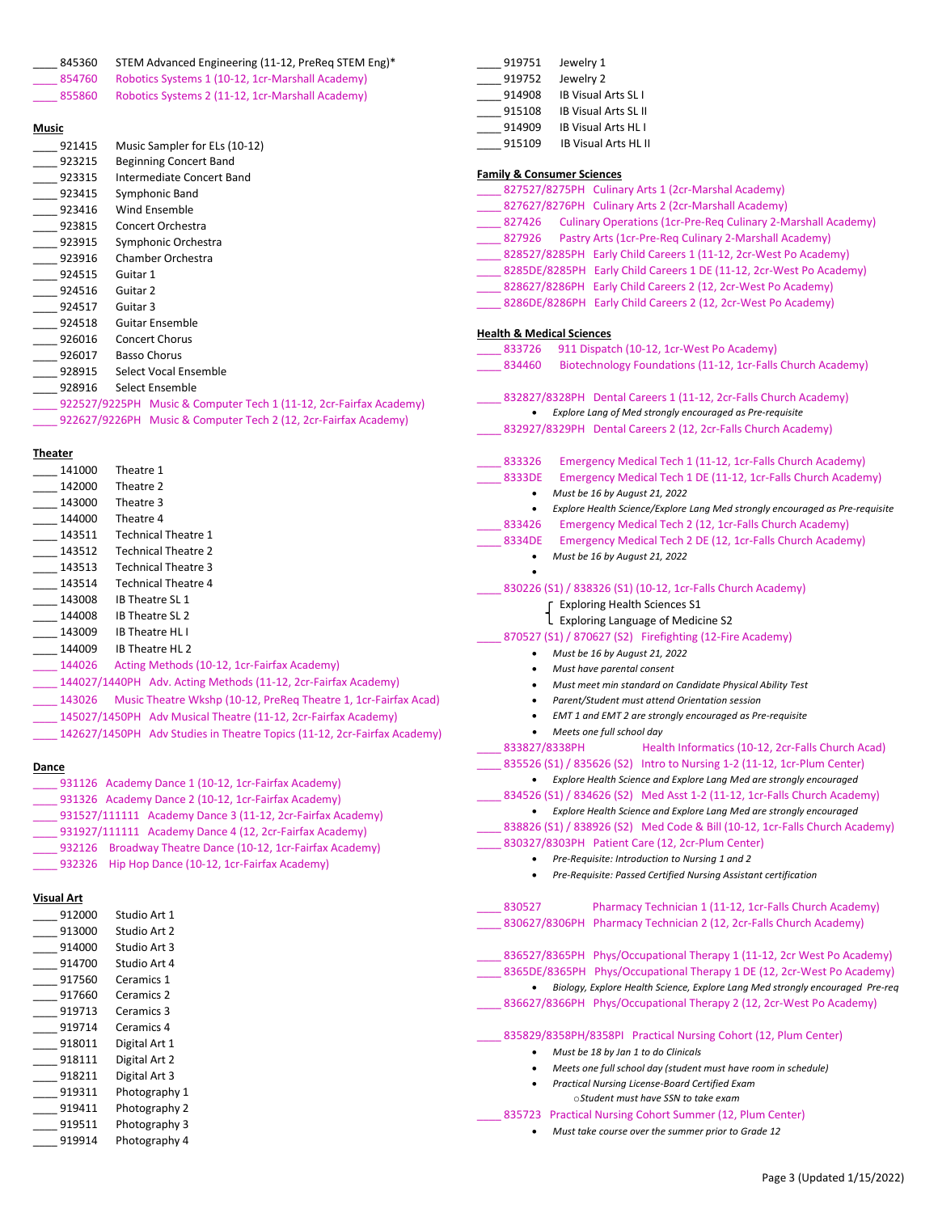| 845360            | STEM Advanced Engineering (11-12, PreReq STEM Eng)*                      | 919751<br>Jewelry 1                                                         |                      |
|-------------------|--------------------------------------------------------------------------|-----------------------------------------------------------------------------|----------------------|
| 854760            | Robotics Systems 1 (10-12, 1cr-Marshall Academy)                         | 919752<br>Jewelry 2                                                         |                      |
| 855860            | Robotics Systems 2 (11-12, 1cr-Marshall Academy)                         | 914908<br><b>IB Visual Arts SLI</b>                                         |                      |
|                   |                                                                          | 915108<br><b>IB Visual Arts SL II</b>                                       |                      |
| Music             |                                                                          | 914909<br><b>IB Visual Arts HLI</b>                                         |                      |
| 921415            | Music Sampler for ELs (10-12)                                            | 915109<br><b>IB Visual Arts HL II</b>                                       |                      |
| 923215            | <b>Beginning Concert Band</b>                                            |                                                                             |                      |
| 923315            | Intermediate Concert Band                                                | <b>Family &amp; Consumer Sciences</b>                                       |                      |
| 923415            | Symphonic Band                                                           | 827527/8275PH Culinary Arts 1 (2cr-Ma                                       |                      |
| 923416            | Wind Ensemble                                                            | _ 827627/8276PH Culinary Arts 2 (2cr-Ma                                     |                      |
| 923815            | Concert Orchestra                                                        | <b>Culinary Operations (1cr-Pre-F</b><br>$-827426$                          |                      |
| 923915            | Symphonic Orchestra                                                      | 827926<br>Pastry Arts (1cr-Pre-Req Culina                                   |                      |
| 923916            | Chamber Orchestra                                                        | 828527/8285PH Early Child Careers 1 (1                                      |                      |
| 924515            | Guitar 1                                                                 | _____ 8285DE/8285PH Early Child Careers 1 DI                                |                      |
| 924516            | Guitar 2                                                                 | _____ 828627/8286PH    Early Child Careers 2 (1)                            |                      |
| 924517            | Guitar 3                                                                 | 8286DE/8286PH Early Child Careers 2 (1                                      |                      |
| 924518            | <b>Guitar Ensemble</b>                                                   |                                                                             |                      |
| 926016            | <b>Concert Chorus</b>                                                    | <b>Health &amp; Medical Sciences</b>                                        |                      |
| 926017            | <b>Basso Chorus</b>                                                      | 911 Dispatch (10-12, 1cr-West<br>833726                                     |                      |
| 928915            | Select Vocal Ensemble                                                    | 834460<br><b>Biotechnology Foundations (1</b>                               |                      |
| 928916            | Select Ensemble                                                          |                                                                             |                      |
|                   | 922527/9225PH Music & Computer Tech 1 (11-12, 2cr-Fairfax Academy)       | 832827/8328PH Dental Careers 1 (11-12<br>Explore Lang of Med strongly encou |                      |
|                   | 922627/9226PH Music & Computer Tech 2 (12, 2cr-Fairfax Academy)          | 832927/8329PH Dental Careers 2 (12, 2                                       |                      |
|                   |                                                                          |                                                                             |                      |
| <u>Theater</u>    |                                                                          | 833326<br><b>Emergency Medical Tech 1 (1)</b>                               |                      |
| 141000            | Theatre 1                                                                | 8333DE<br><b>Emergency Medical Tech 1 DE</b>                                |                      |
| 142000            | Theatre 2                                                                | Must be 16 by August 21, 2022<br>$\bullet$                                  |                      |
| 143000            | Theatre 3                                                                | Explore Health Science/Explore Lang<br>٠                                    |                      |
| 144000            | Theatre 4                                                                | 833426<br><b>Emergency Medical Tech 2 (12</b>                               |                      |
| 143511            | <b>Technical Theatre 1</b>                                               | 8334DE<br><b>Emergency Medical Tech 2 DE</b>                                |                      |
| 143512            | <b>Technical Theatre 2</b>                                               | Must be 16 by August 21, 2022<br>$\bullet$                                  |                      |
| 143513            | <b>Technical Theatre 3</b>                                               |                                                                             |                      |
| 143514            | <b>Technical Theatre 4</b>                                               | 830226 (S1) / 838326 (S1) (10-12, 1cr-Fal                                   |                      |
| 143008            | IB Theatre SL 1                                                          | F Exploring Health Sciences S1                                              |                      |
| 144008            | <b>IB Theatre SL 2</b>                                                   | L Exploring Language of Medicir                                             |                      |
| 143009            | <b>IB Theatre HLI</b>                                                    | 870527 (S1) / 870627 (S2) Firefighting (1                                   |                      |
| 144009            | IB Theatre HL 2                                                          | Must be 16 by August 21, 2022                                               |                      |
| 144026            | Acting Methods (10-12, 1cr-Fairfax Academy)                              | Must have parental consent<br>$\bullet$                                     |                      |
|                   | 144027/1440PH Adv. Acting Methods (11-12, 2cr-Fairfax Academy)           | Must meet min standard on Candido<br>$\bullet$                              |                      |
| 143026            | Music Theatre Wkshp (10-12, PreReq Theatre 1, 1cr-Fairfax Acad)          | Parent/Student must attend Oriento                                          |                      |
|                   | 145027/1450PH Adv Musical Theatre (11-12, 2cr-Fairfax Academy)           | EMT 1 and EMT 2 are strongly encor<br>٠                                     |                      |
|                   | 142627/1450PH Adv Studies in Theatre Topics (11-12, 2cr-Fairfax Academy) | Meets one full school day                                                   |                      |
|                   |                                                                          | 833827/8338PH                                                               | <b>Health Inform</b> |
| Dance             |                                                                          | 835526 (S1) / 835626 (S2) Intro to Nursi                                    |                      |
|                   | 931126 Academy Dance 1 (10-12, 1cr-Fairfax Academy)                      | Explore Health Science and Explore I<br>$\bullet$                           |                      |
|                   | 931326 Academy Dance 2 (10-12, 1cr-Fairfax Academy)                      | 834526 (S1) / 834626 (S2) Med Asst 1-2                                      |                      |
|                   | 931527/111111 Academy Dance 3 (11-12, 2cr-Fairfax Academy)               | • Explore Health Science and Explore I                                      |                      |
|                   | 931927/111111 Academy Dance 4 (12, 2cr-Fairfax Academy)                  | 838826 (S1) / 838926 (S2) Med Code & I                                      |                      |
|                   | 932126 Broadway Theatre Dance (10-12, 1cr-Fairfax Academy)               | 830327/8303PH Patient Care (12, 2cr-Pl                                      |                      |
|                   | 932326 Hip Hop Dance (10-12, 1cr-Fairfax Academy)                        | Pre-Requisite: Introduction to Nursir<br>$\bullet$                          |                      |
|                   |                                                                          | Pre-Requisite: Passed Certified Nurs.                                       |                      |
| <b>Visual Art</b> |                                                                          | 830527<br><b>Pharmacy Technician 1</b>                                      |                      |
| 912000            | Studio Art 1                                                             | 830627/8306PH Pharmacy Technician 2                                         |                      |
| 913000            | Studio Art 2                                                             |                                                                             |                      |
| 914000            | Studio Art 3                                                             | 836527/8365PH Phys/Occupational The                                         |                      |
| 914700            | Studio Art 4                                                             | 8365DE/8365PH Phys/Occupational The                                         |                      |
| 917560            | Ceramics 1                                                               | • Biology, Explore Health Science, Exp                                      |                      |
| 917660            | Ceramics 2                                                               | 836627/8366PH Phys/Occupational The                                         |                      |
| 919713            | Ceramics 3                                                               |                                                                             |                      |
| 919714            | Ceramics 4                                                               | 025020/0250DH/0250DL Dractical Nurgin                                       |                      |

| 912000 | Studio Art 1  |
|--------|---------------|
| 913000 | Studio Art 2  |
| 914000 | Studio Art 3  |
| 914700 | Studio Art 4  |
| 917560 | Ceramics 1    |
| 917660 | Ceramics 2    |
| 919713 | Ceramics 3    |
| 919714 | Ceramics 4    |
| 918011 | Digital Art 1 |
| 918111 | Digital Art 2 |
| 918211 | Digital Art 3 |
| 919311 | Photography 1 |
| 919411 | Photography 2 |
| 919511 | Photography 3 |
| 919914 | Photography 4 |
|        |               |

| <b>Family &amp; Consumer Sciences</b>          |                                                                                         |
|------------------------------------------------|-----------------------------------------------------------------------------------------|
|                                                | 827527/8275PH Culinary Arts 1 (2cr-Marshal Academy)                                     |
|                                                | 827627/8276PH Culinary Arts 2 (2cr-Marshall Academy)                                    |
|                                                | 827426 Culinary Operations (1cr-Pre-Reg Culinary 2-Marshall Academy)                    |
|                                                | 827926 Pastry Arts (1cr-Pre-Req Culinary 2-Marshall Academy)                            |
|                                                | 828527/8285PH Early Child Careers 1 (11-12, 2cr-West Po Academy)                        |
|                                                | 8285DE/8285PH Early Child Careers 1 DE (11-12, 2cr-West Po Academy)                     |
|                                                | 828627/8286PH Early Child Careers 2 (12, 2cr-West Po Academy)                           |
|                                                | 8286DE/8286PH Early Child Careers 2 (12, 2cr-West Po Academy)                           |
|                                                |                                                                                         |
| <b>Health &amp; Medical Sciences</b><br>833726 | 911 Dispatch (10-12, 1cr-West Po Academy)                                               |
| 834460                                         | Biotechnology Foundations (11-12, 1cr-Falls Church Academy)                             |
|                                                |                                                                                         |
|                                                | 832827/8328PH Dental Careers 1 (11-12, 2cr-Falls Church Academy)                        |
|                                                | Explore Lang of Med strongly encouraged as Pre-requisite                                |
|                                                | 832927/8329PH Dental Careers 2 (12, 2cr-Falls Church Academy)                           |
|                                                |                                                                                         |
| 833326                                         | Emergency Medical Tech 1 (11-12, 1cr-Falls Church Academy)                              |
| 8333DE                                         | Emergency Medical Tech 1 DE (11-12, 1cr-Falls Church Academy)                           |
| ٠                                              | Must be 16 by August 21, 2022                                                           |
| ٠                                              | Explore Health Science/Explore Lang Med strongly encouraged as Pre-requisite            |
| 833426                                         | Emergency Medical Tech 2 (12, 1cr-Falls Church Academy)                                 |
| 8334DE                                         | Emergency Medical Tech 2 DE (12, 1cr-Falls Church Academy)                              |
| ٠                                              | Must be 16 by August 21, 2022                                                           |
|                                                | 830226 (S1) / 838326 (S1) (10-12, 1cr-Falls Church Academy)                             |
|                                                | <b>Exploring Health Sciences S1</b>                                                     |
|                                                | Exploring Language of Medicine S2                                                       |
|                                                |                                                                                         |
|                                                | 870527 (S1) / 870627 (S2) Firefighting (12-Fire Academy)                                |
| ٠<br>٠                                         | Must be 16 by August 21, 2022                                                           |
| ٠                                              | Must have parental consent<br>Must meet min standard on Candidate Physical Ability Test |
| ٠                                              | Parent/Student must attend Orientation session                                          |
|                                                | EMT 1 and EMT 2 are strongly encouraged as Pre-requisite                                |
|                                                | Meets one full school day                                                               |
| 833827/8338PH                                  | Health Informatics (10-12, 2cr-Falls Church Acad)                                       |
|                                                | 835526 (S1) / 835626 (S2) Intro to Nursing 1-2 (11-12, 1cr-Plum Center)                 |
|                                                | Explore Health Science and Explore Lang Med are strongly encouraged                     |
|                                                | 834526 (S1) / 834626 (S2) Med Asst 1-2 (11-12, 1cr-Falls Church Academy)                |
|                                                | Explore Health Science and Explore Lang Med are strongly encouraged                     |
|                                                | 838826 (S1) / 838926 (S2) Med Code & Bill (10-12, 1cr-Falls Church Academy)             |
|                                                | 830327/8303PH Patient Care (12, 2cr-Plum Center)                                        |
|                                                | Pre-Requisite: Introduction to Nursing 1 and 2                                          |
|                                                | Pre-Requisite: Passed Certified Nursing Assistant certification                         |
|                                                |                                                                                         |
| 830527                                         | Pharmacy Technician 1 (11-12, 1cr-Falls Church Academy)                                 |
|                                                | 830627/8306PH Pharmacy Technician 2 (12, 2cr-Falls Church Academy)                      |
|                                                |                                                                                         |
|                                                | 836527/8365PH Phys/Occupational Therapy 1 (11-12, 2cr West Po Academy)                  |
|                                                | 8365DE/8365PH Phys/Occupational Therapy 1 DE (12, 2cr-West Po Academy)                  |
|                                                | Biology, Explore Health Science, Explore Lang Med strongly encouraged Pre-req           |
|                                                | 836627/8366PH Phys/Occupational Therapy 2 (12, 2cr-West Po Academy)                     |
|                                                | 835829/8358PH/8358PI Practical Nursing Cohort (12, Plum Center)                         |
|                                                | Must be 18 by Jan 1 to do Clinicals                                                     |
|                                                | Meets one full school day (student must have room in schedule)                          |
|                                                | Practical Nursing License-Board Certified Exam                                          |
|                                                | oStudent must have SSN to take exam                                                     |

\_\_\_\_ 835723 Practical Nursing Cohort Summer (12, Plum Center) • *Must take course over the summer prior to Grade 12*